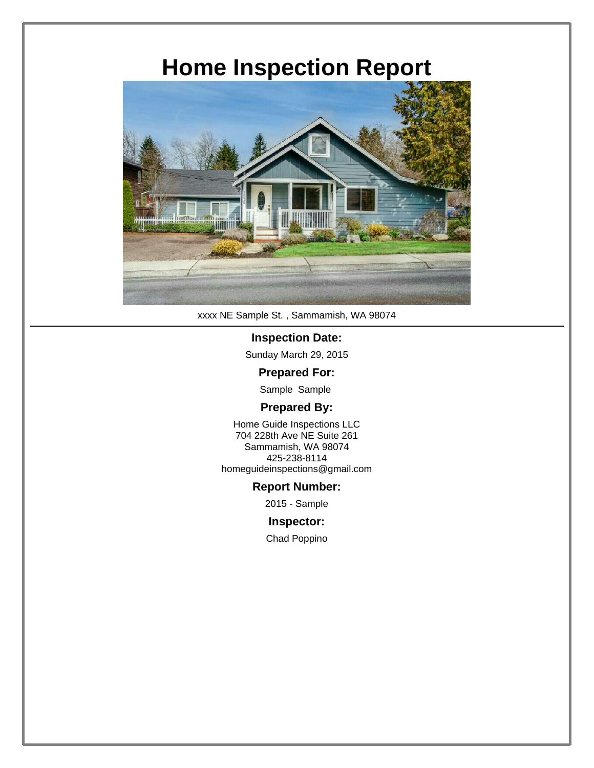### **Home Inspection Report**



xxxx NE Sample St. , Sammamish, WA 98074

#### **Inspection Date:**

Sunday March 29, 2015

#### **Prepared For:**

Sample Sample

#### **Prepared By:**

Home Guide Inspections LLC 704 228th Ave NE Suite 261 Sammamish, WA 98074 425-238-8114 homeguideinspections@gmail.com

#### **Report Number:**

2015 - Sample

#### **Inspector:**

Chad Poppino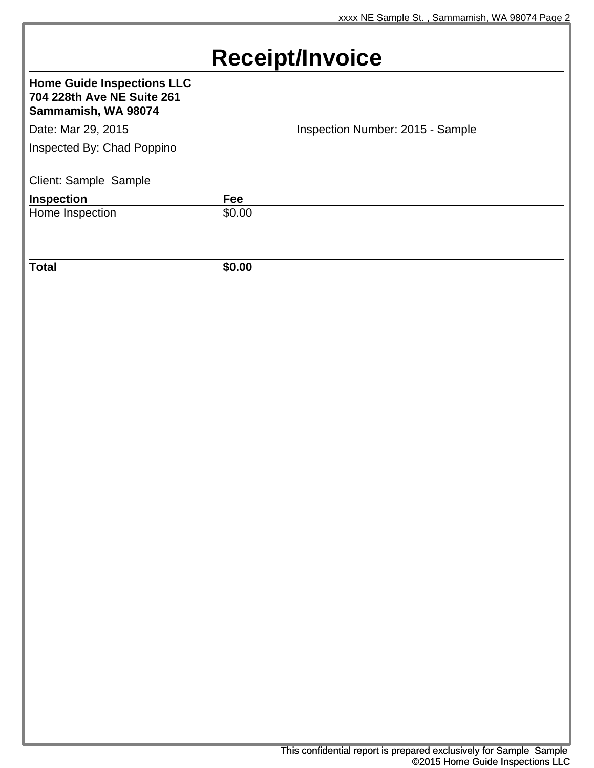### **Receipt/Invoice**

### **Home Guide Inspections LLC 704 228th Ave NE Suite 261 Sammamish, WA 98074** Date: Mar 29, 2015 **Inspection Number: 2015 - Sample** Inspected By: Chad Poppino Client: Sample Sample **Inspection**<br> **Home Inspection**<br> **Fee**<br> **S0.00** Home Inspection **Total \$0.00**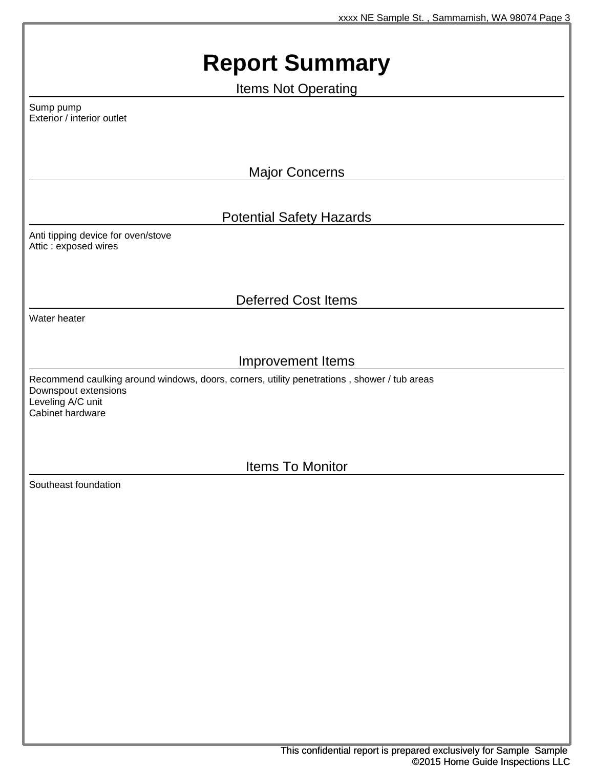## **Report Summary**

Items Not Operating

Sump pump Exterior / interior outlet

Major Concerns

### Potential Safety Hazards

Anti tipping device for oven/stove Attic : exposed wires

### Deferred Cost Items

Water heater

### Improvement Items

Recommend caulking around windows, doors, corners, utility penetrations , shower / tub areas Downspout extensions Leveling A/C unit Cabinet hardware

Items To Monitor

Southeast foundation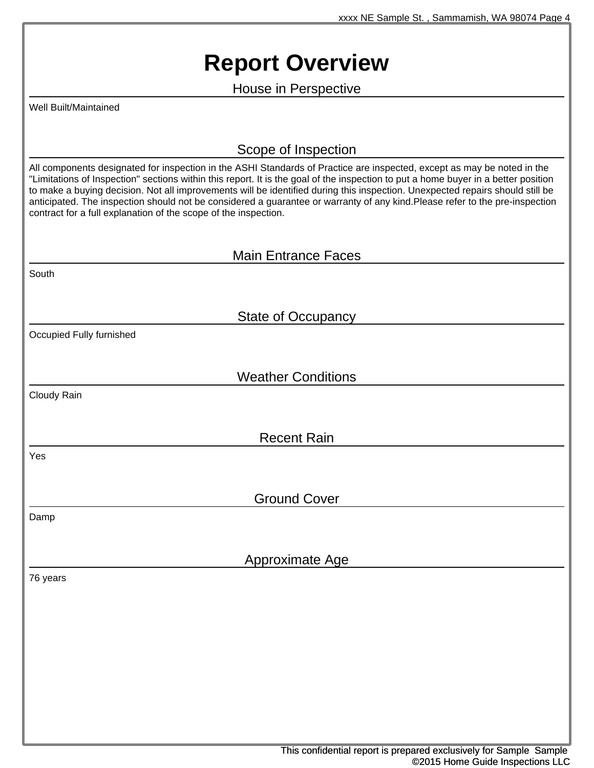### **Report Overview**

House in Perspective

Well Built/Maintained

Scope of Inspection

All components designated for inspection in the ASHI Standards of Practice are inspected, except as may be noted in the "Limitations of Inspection" sections within this report. It is the goal of the inspection to put a home buyer in a better position to make a buying decision. Not all improvements will be identified during this inspection. Unexpected repairs should still be anticipated. The inspection should not be considered a guarantee or warranty of any kind.Please refer to the pre-inspection contract for a full explanation of the scope of the inspection.

|                          | <b>Main Entrance Faces</b> |  |
|--------------------------|----------------------------|--|
| South                    |                            |  |
|                          |                            |  |
|                          | <b>State of Occupancy</b>  |  |
| Occupied Fully furnished |                            |  |
|                          |                            |  |
|                          | <b>Weather Conditions</b>  |  |
| Cloudy Rain              |                            |  |
|                          |                            |  |
|                          | <b>Recent Rain</b>         |  |
| Yes                      |                            |  |
|                          |                            |  |
|                          | <b>Ground Cover</b>        |  |
| Damp                     |                            |  |
|                          |                            |  |
|                          | <b>Approximate Age</b>     |  |
| 76 years                 |                            |  |
|                          |                            |  |
|                          |                            |  |
|                          |                            |  |
|                          |                            |  |
|                          |                            |  |
|                          |                            |  |
|                          |                            |  |
|                          |                            |  |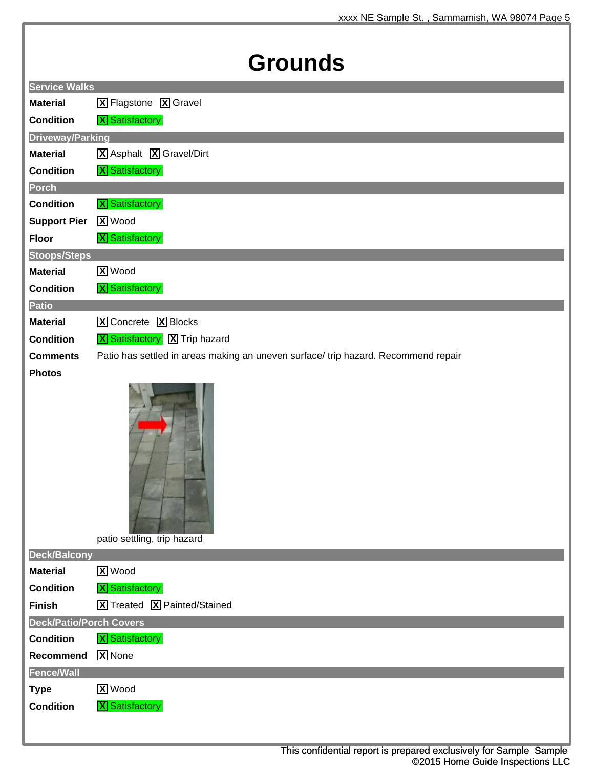## **Grounds**

|                                | JI VUI IUJ                                                                         |
|--------------------------------|------------------------------------------------------------------------------------|
| <b>Service Walks</b>           |                                                                                    |
| <b>Material</b>                | <b>X</b> Flagstone <b>X</b> Gravel                                                 |
| <b>Condition</b>               | <b>X</b> Satisfactory                                                              |
| <b>Driveway/Parking</b>        |                                                                                    |
| <b>Material</b>                | X Asphalt X Gravel/Dirt                                                            |
| <b>Condition</b>               | <b>X</b> Satisfactory                                                              |
| Porch                          |                                                                                    |
| <b>Condition</b>               | <b>X</b> Satisfactory                                                              |
| <b>Support Pier</b>            | <b>X</b> Wood                                                                      |
| <b>Floor</b>                   | <b>X</b> Satisfactory                                                              |
| <b>Stoops/Steps</b>            |                                                                                    |
| <b>Material</b>                | <b>X</b> Wood                                                                      |
| <b>Condition</b>               | <b>X</b> Satisfactory                                                              |
| <b>Patio</b>                   |                                                                                    |
| <b>Material</b>                | X Concrete X Blocks                                                                |
| <b>Condition</b>               | <b>X</b> Satisfactory X Trip hazard                                                |
| <b>Comments</b>                | Patio has settled in areas making an uneven surface/ trip hazard. Recommend repair |
| <b>Photos</b>                  |                                                                                    |
|                                | patio settling, trip hazard                                                        |
| <b>Deck/Balcony</b>            |                                                                                    |
| <b>Material</b>                | <b>X</b> Wood                                                                      |
| <b>Condition</b>               | <b>X</b> Satisfactory                                                              |
| <b>Finish</b>                  | X Treated X Painted/Stained                                                        |
| <b>Deck/Patio/Porch Covers</b> |                                                                                    |
| <b>Condition</b>               | <b>X</b> Satisfactory                                                              |
| Recommend                      | <b>X</b> None                                                                      |
| <b>Fence/Wall</b>              |                                                                                    |
| <b>Type</b>                    | <b>X</b> Wood                                                                      |
| <b>Condition</b>               | <b>X</b> Satisfactory                                                              |
|                                |                                                                                    |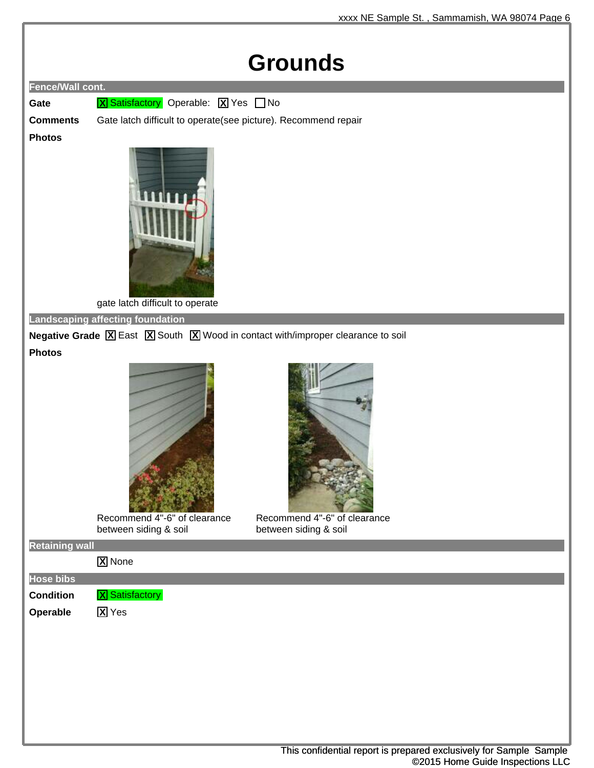### **Grounds**



**Gate X** Satisfactory Operable: **X** Yes  $\Box$  No

**Comments** Gate latch difficult to operate(see picture). Recommend repair

#### **Photos**



gate latch difficult to operate

**Landscaping affecting foundation**

**Negative Grade X** East **X** South **X** Wood in contact with/improper clearance to soil **Photos**



Recommend 4"-6" of clearance between siding & soil



Recommend 4"-6" of clearance between siding & soil

**Retaining wall**

**X** None

**Hose bibs Condition X** Satisfactory

**Operable X** Yes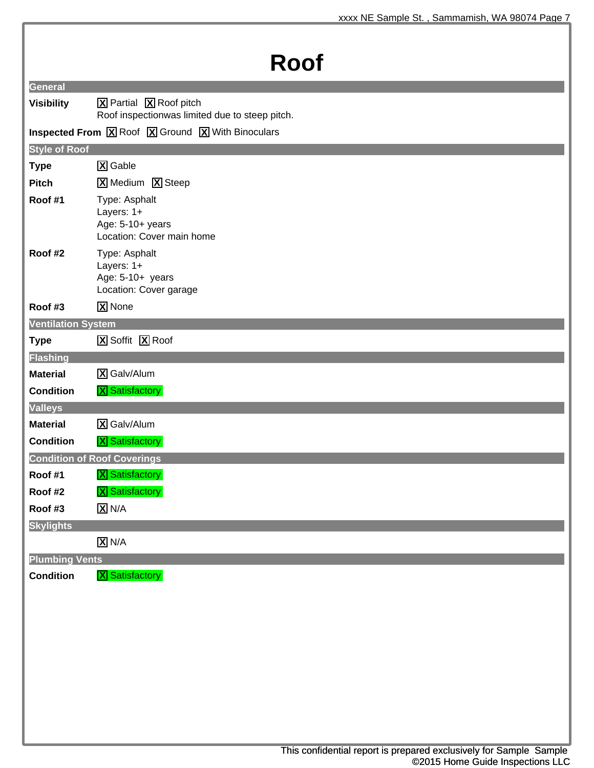## **Roof**

|                           | ै। ऽ७७।                                                                                                                                           |
|---------------------------|---------------------------------------------------------------------------------------------------------------------------------------------------|
| <b>General</b>            |                                                                                                                                                   |
| <b>Visibility</b>         | X Partial X Roof pitch                                                                                                                            |
|                           | Roof inspectionwas limited due to steep pitch.                                                                                                    |
|                           | <b>Inspected From <math>\boxed{\mathbf{X}}</math> Roof <math>\boxed{\mathbf{X}}</math> Ground <math>\boxed{\mathbf{X}}</math> With Binoculars</b> |
| <b>Style of Roof</b>      |                                                                                                                                                   |
| <b>Type</b>               | <b>X</b> Gable                                                                                                                                    |
| <b>Pitch</b>              | <b>X</b> Medium <b>X</b> Steep                                                                                                                    |
| Roof #1                   | Type: Asphalt<br>Layers: 1+<br>Age: 5-10+ years<br>Location: Cover main home                                                                      |
| Roof #2                   | Type: Asphalt<br>Layers: 1+<br>Age: 5-10+ years<br>Location: Cover garage                                                                         |
| Roof #3                   | <b>X</b> None                                                                                                                                     |
| <b>Ventilation System</b> |                                                                                                                                                   |
| <b>Type</b>               | X Soffit X Roof                                                                                                                                   |
| <b>Flashing</b>           |                                                                                                                                                   |
| <b>Material</b>           | X Galv/Alum                                                                                                                                       |
| <b>Condition</b>          | <b>X</b> Satisfactory                                                                                                                             |
| <b>Valleys</b>            |                                                                                                                                                   |
| <b>Material</b>           | X Galv/Alum                                                                                                                                       |
| <b>Condition</b>          | <b>X</b> Satisfactory                                                                                                                             |
|                           | <b>Condition of Roof Coverings</b>                                                                                                                |
| Roof #1                   | <b>X</b> Satisfactory                                                                                                                             |
| Roof #2                   | <b>X</b> Satisfactory                                                                                                                             |
| Roof #3                   | $X$ N/A                                                                                                                                           |
| <b>Skylights</b>          |                                                                                                                                                   |
|                           | $\overline{X}$ N/A                                                                                                                                |
| <b>Plumbing Vents</b>     |                                                                                                                                                   |
| <b>Condition</b>          | <b>X</b> Satisfactory                                                                                                                             |
|                           |                                                                                                                                                   |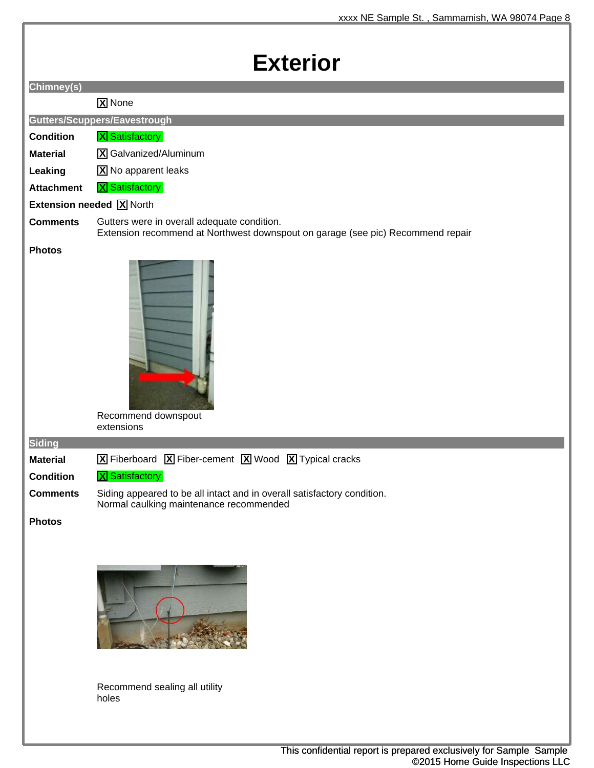### **Exterior**

| -YIQI IN                       |                                                                                                                                 |
|--------------------------------|---------------------------------------------------------------------------------------------------------------------------------|
| Chimney(s)                     |                                                                                                                                 |
|                                | X None                                                                                                                          |
|                                | Gutters/Scuppers/Eavestrough                                                                                                    |
| <b>Condition</b>               | <b>X</b> Satisfactory                                                                                                           |
| <b>Material</b>                | X Galvanized/Aluminum                                                                                                           |
| Leaking                        | X No apparent leaks                                                                                                             |
| <b>Attachment</b>              | <b>X</b> Satisfactory                                                                                                           |
|                                | <b>Extension needed X</b> North                                                                                                 |
| <b>Comments</b>                | Gutters were in overall adequate condition.<br>Extension recommend at Northwest downspout on garage (see pic) Recommend repair  |
| <b>Photos</b><br><b>Siding</b> | Recommend downspout<br>extensions                                                                                               |
| <b>Material</b>                | $\boxed{\mathbf{X}}$ Fiberboard $\boxed{\mathbf{X}}$ Fiber-cement $\boxed{\mathbf{X}}$ Wood $\boxed{\mathbf{X}}$ Typical cracks |
| <b>Condition</b>               | <b>X</b> Satisfactory                                                                                                           |
| <b>Comments</b>                | Siding appeared to be all intact and in overall satisfactory condition.<br>Normal caulking maintenance recommended              |
| <b>Photos</b>                  |                                                                                                                                 |



Recommend sealing all utility holes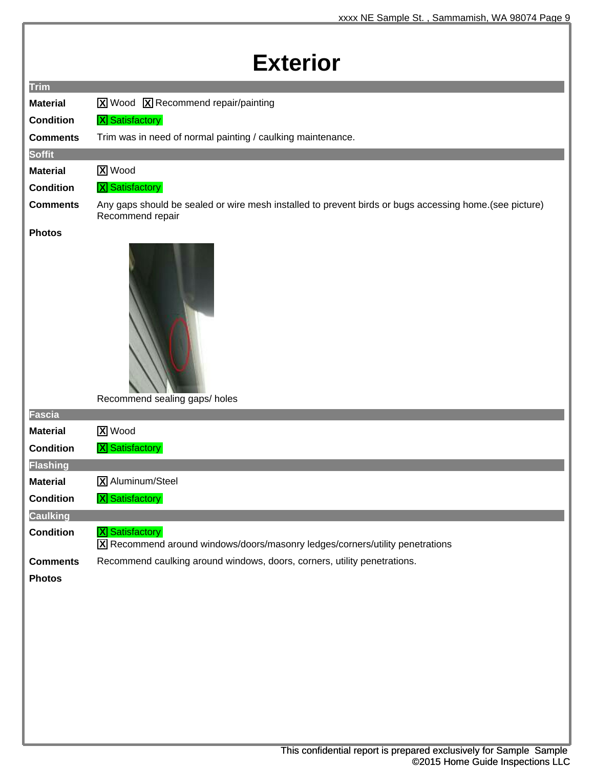| <b>Exterior</b>  |                                                                                                                            |  |
|------------------|----------------------------------------------------------------------------------------------------------------------------|--|
| <b>Trim</b>      |                                                                                                                            |  |
| <b>Material</b>  | <b>X</b> Wood <b>X</b> Recommend repair/painting                                                                           |  |
| <b>Condition</b> | <b>X</b> Satisfactory                                                                                                      |  |
| <b>Comments</b>  | Trim was in need of normal painting / caulking maintenance.                                                                |  |
| <b>Soffit</b>    |                                                                                                                            |  |
| <b>Material</b>  | <b>X</b> Wood                                                                                                              |  |
| <b>Condition</b> | <b>X</b> Satisfactory                                                                                                      |  |
| <b>Comments</b>  | Any gaps should be sealed or wire mesh installed to prevent birds or bugs accessing home.(see picture)<br>Recommend repair |  |
| <b>Photos</b>    | Recommend sealing gaps/ holes                                                                                              |  |
| <b>Fascia</b>    |                                                                                                                            |  |
| <b>Material</b>  | <b>X</b> Wood                                                                                                              |  |
| <b>Condition</b> | <b>X</b> Satisfactory                                                                                                      |  |
| <b>Flashing</b>  |                                                                                                                            |  |
| <b>Material</b>  | X Aluminum/Steel                                                                                                           |  |
| <b>Condition</b> | <b>X</b> Satisfactory                                                                                                      |  |
| <b>Caulking</b>  |                                                                                                                            |  |
| <b>Condition</b> | <b>X</b> Satisfactory<br>X Recommend around windows/doors/masonry ledges/corners/utility penetrations                      |  |
| <b>Comments</b>  | Recommend caulking around windows, doors, corners, utility penetrations.                                                   |  |
| <b>Photos</b>    |                                                                                                                            |  |
|                  |                                                                                                                            |  |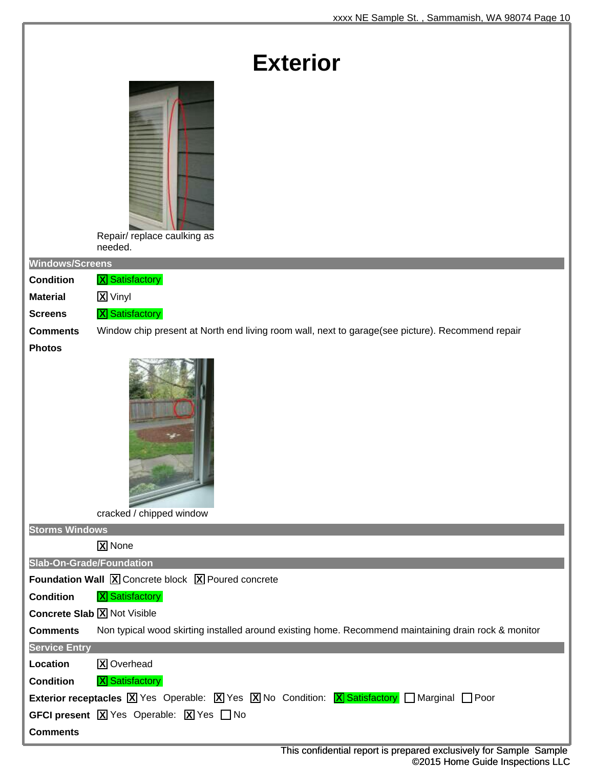| <b>Exterior</b>                    |                                                                                                                                                           |
|------------------------------------|-----------------------------------------------------------------------------------------------------------------------------------------------------------|
|                                    | Repair/replace caulking as<br>needed.                                                                                                                     |
| <b>Windows/Screens</b>             |                                                                                                                                                           |
| <b>Condition</b>                   | <b>X</b> Satisfactory                                                                                                                                     |
| <b>Material</b>                    | <b>X</b> Vinyl                                                                                                                                            |
| <b>Screens</b><br><b>Comments</b>  | <b>X</b> Satisfactory                                                                                                                                     |
| <b>Photos</b>                      | Window chip present at North end living room wall, next to garage(see picture). Recommend repair                                                          |
|                                    | $\frac{1}{\sqrt{2\pi}}$                                                                                                                                   |
|                                    | cracked / chipped window                                                                                                                                  |
| <b>Storms Windows</b>              |                                                                                                                                                           |
| Slab-On-Grade/Foundation           | <b>X</b> None                                                                                                                                             |
|                                    | <b>Foundation Wall X</b> Concrete block X Poured concrete                                                                                                 |
| <b>Condition</b>                   | <b>X</b> Satisfactory                                                                                                                                     |
| <b>Concrete Slab X</b> Not Visible |                                                                                                                                                           |
| <b>Comments</b>                    | Non typical wood skirting installed around existing home. Recommend maintaining drain rock & monitor                                                      |
| <b>Service Entry</b>               |                                                                                                                                                           |
| Location                           | <b>X</b> Overhead                                                                                                                                         |
| <b>Condition</b>                   | <b>X</b> Satisfactory                                                                                                                                     |
|                                    | <b>Exterior receptacles</b> $[\overline{X}]$ Yes Operable: $[\overline{X}]$ Yes $[\overline{X}]$ No Condition: <b>X</b> Satisfactory Marginal $\Box$ Poor |
|                                    | <b>GFCI present</b> $\boxed{\mathbf{X}}$ Yes Operable: $\boxed{\mathbf{X}}$ Yes $\boxed{\phantom{1}}$ No                                                  |
| <b>Comments</b>                    |                                                                                                                                                           |
|                                    | This confidential report is prepared exclusively for Sample Sample                                                                                        |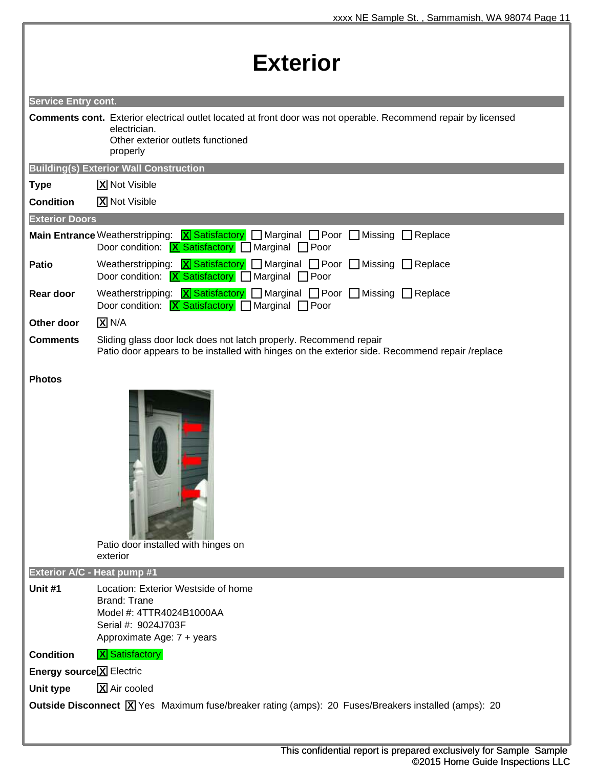| <b>Exterior</b>                 |                                                                                                                                                                                                                                                                                                                                         |  |
|---------------------------------|-----------------------------------------------------------------------------------------------------------------------------------------------------------------------------------------------------------------------------------------------------------------------------------------------------------------------------------------|--|
| <b>Service Entry cont.</b>      |                                                                                                                                                                                                                                                                                                                                         |  |
|                                 | <b>Comments cont.</b> Exterior electrical outlet located at front door was not operable. Recommend repair by licensed<br>electrician.<br>Other exterior outlets functioned<br>properly                                                                                                                                                  |  |
|                                 | <b>Building(s) Exterior Wall Construction</b>                                                                                                                                                                                                                                                                                           |  |
| <b>Type</b>                     | <b>X</b> Not Visible                                                                                                                                                                                                                                                                                                                    |  |
| <b>Condition</b>                | <b>X</b> Not Visible                                                                                                                                                                                                                                                                                                                    |  |
| <b>Exterior Doors</b>           |                                                                                                                                                                                                                                                                                                                                         |  |
|                                 | <b>Main Entrance</b> Weatherstripping: <b>X</b> Satisfactory <b>Manginal Proor Missing Replace</b><br>Door condition: $X$ Satisfactory Marginal Poor                                                                                                                                                                                    |  |
| <b>Patio</b>                    | Weatherstripping: $\boxed{\mathbf{X}}$ Satisfactory $\boxed{\phantom{\mathbf{X}}}$ Marginal $\boxed{\phantom{\mathbf{X}}}$ Poor $\boxed{\phantom{\mathbf{X}}}$ Missing $\boxed{\phantom{\mathbf{X}}}$ Replace<br>Door condition: $\boxed{\text{X}}$ Satisfactory $\boxed{\phantom{\text{X}}$ Marginal $\boxed{\phantom{\text{X}}}$ Poor |  |
| Rear door                       | Weatherstripping: $X$ Satisfactory $\Box$ Marginal $\Box$ Poor $\Box$ Missing $\Box$ Replace<br>Door condition: $X$ Satisfactory Marginal Poor                                                                                                                                                                                          |  |
| Other door                      | $X$ N/A                                                                                                                                                                                                                                                                                                                                 |  |
| <b>Comments</b>                 | Sliding glass door lock does not latch properly. Recommend repair<br>Patio door appears to be installed with hinges on the exterior side. Recommend repair /replace                                                                                                                                                                     |  |
| <b>Photos</b>                   |                                                                                                                                                                                                                                                                                                                                         |  |
|                                 | Patio door installed with hinges on<br>exterior                                                                                                                                                                                                                                                                                         |  |
| Exterior A/C - Heat pump #1     |                                                                                                                                                                                                                                                                                                                                         |  |
| Unit #1                         | Location: Exterior Westside of home<br>Brand: Trane<br>Model #: 4TTR4024B1000AA<br>Serial #: 9024J703F<br>Approximate Age: 7 + years                                                                                                                                                                                                    |  |
| <b>Condition</b>                | <b>X</b> Satisfactory                                                                                                                                                                                                                                                                                                                   |  |
| <b>Energy source X Electric</b> |                                                                                                                                                                                                                                                                                                                                         |  |
| Unit type                       | X Air cooled                                                                                                                                                                                                                                                                                                                            |  |
|                                 | Outside Disconnect X Yes Maximum fuse/breaker rating (amps): 20 Fuses/Breakers installed (amps): 20                                                                                                                                                                                                                                     |  |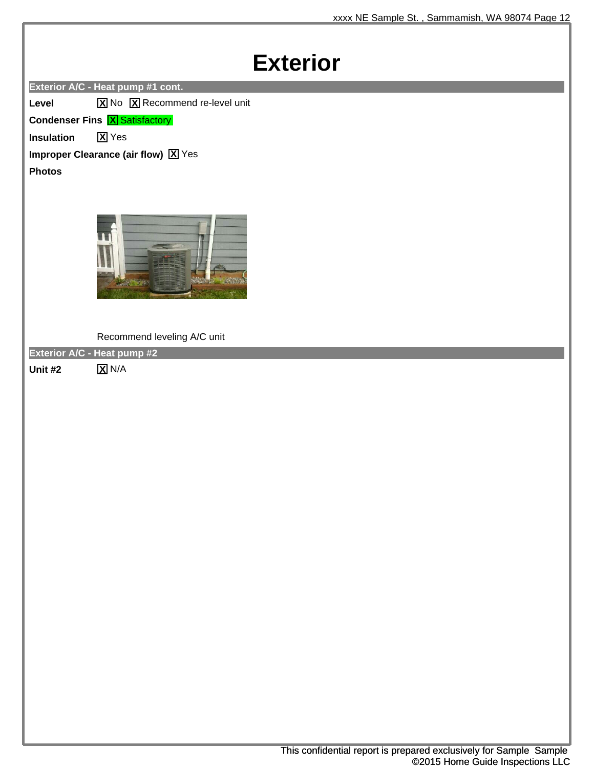### **Exterior**

**Exterior A/C - Heat pump #1 cont.**

**Level X** No **X** Recommend re-level unit

**Condenser Fins <b>X** Satisfactory

**Insulation X** Yes

**Improper Clearance (air flow)**  $\boxed{\text{X}}$  **Yes** 

**Photos**



Recommend leveling A/C unit

**Exterior A/C - Heat pump #2**

**Unit #2 X** N/A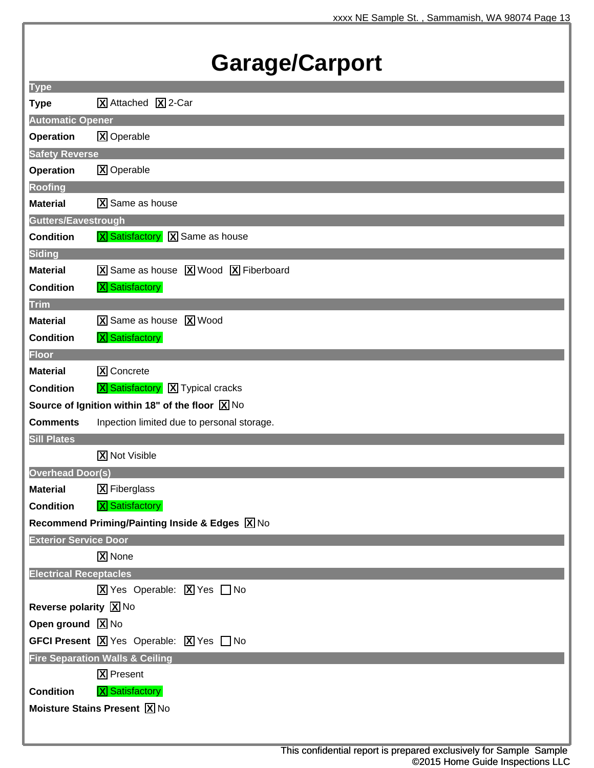## **Garage/Carport**

| <b>Type</b>                   |                                                                                                                     |
|-------------------------------|---------------------------------------------------------------------------------------------------------------------|
| <b>Type</b>                   | X Attached X 2-Car                                                                                                  |
| <b>Automatic Opener</b>       |                                                                                                                     |
| <b>Operation</b>              | <b>X</b> Operable                                                                                                   |
| <b>Safety Reverse</b>         |                                                                                                                     |
| <b>Operation</b>              | <b>X</b> Operable                                                                                                   |
| <b>Roofing</b>                |                                                                                                                     |
| <b>Material</b>               | $\overline{X}$ Same as house                                                                                        |
| Gutters/Eavestrough           |                                                                                                                     |
| <b>Condition</b>              | <b>X</b> Satisfactory X Same as house                                                                               |
| <b>Siding</b>                 |                                                                                                                     |
| <b>Material</b>               | X Same as house X Wood X Fiberboard                                                                                 |
| <b>Condition</b>              | <b>X</b> Satisfactory                                                                                               |
| <b>Trim</b>                   |                                                                                                                     |
| <b>Material</b>               | X Same as house X Wood                                                                                              |
| <b>Condition</b>              | <b>X</b> Satisfactory                                                                                               |
| <b>Floor</b>                  |                                                                                                                     |
| <b>Material</b>               | <b>X</b> Concrete                                                                                                   |
| <b>Condition</b>              | <b>X</b> Satisfactory <b>X</b> Typical cracks                                                                       |
|                               | Source of Ignition within 18" of the floor $\boxed{X}$ No                                                           |
| <b>Comments</b>               | Inpection limited due to personal storage.                                                                          |
| <b>Sill Plates</b>            |                                                                                                                     |
|                               | <b>X</b> Not Visible                                                                                                |
| <b>Overhead Door(s)</b>       |                                                                                                                     |
| <b>Material</b>               | <b>X</b> Fiberglass                                                                                                 |
| <b>Condition</b>              | <b>X</b> Satisfactory                                                                                               |
|                               | Recommend Priming/Painting Inside & Edges X No                                                                      |
| <b>Exterior Service Door</b>  |                                                                                                                     |
|                               | X None                                                                                                              |
| <b>Electrical Receptacles</b> |                                                                                                                     |
|                               | $\boxed{\mathbf{X}}$ Yes Operable: $\boxed{\mathbf{X}}$ Yes $\boxed{\phantom{1}}$ No                                |
| <b>Reverse polarity X No</b>  |                                                                                                                     |
| Open ground X No              |                                                                                                                     |
|                               | <b>GFCI Present <math>\boxed{\mathbf{X}}</math></b> Yes Operable: $\boxed{\mathbf{X}}$ Yes $\boxed{\phantom{1}}$ No |
|                               | <b>Fire Separation Walls &amp; Ceiling</b>                                                                          |
|                               | <b>X</b> Present                                                                                                    |
| <b>Condition</b>              | <b>X</b> Satisfactory                                                                                               |
|                               | <b>Moisture Stains Present X No</b>                                                                                 |
|                               |                                                                                                                     |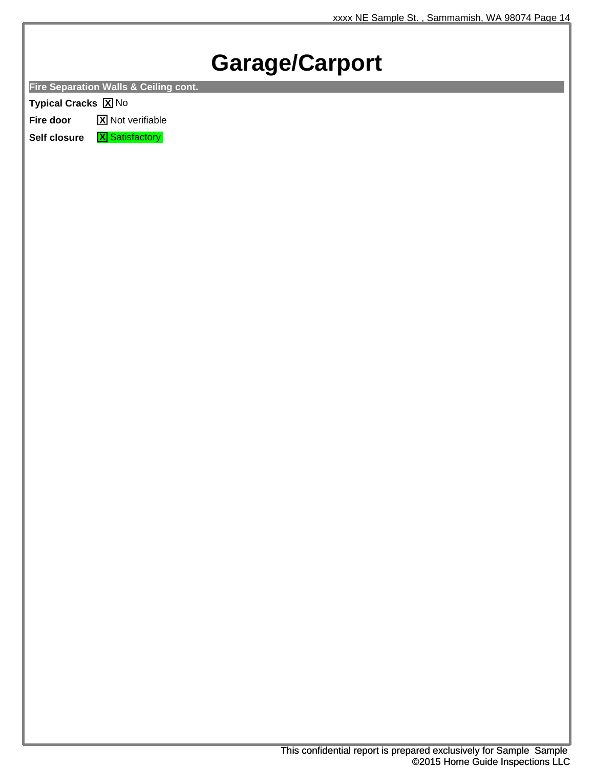## **Garage/Carport**

**Fire Separation Walls & Ceiling cont.**

**Typical Cracks X** No

**Fire door X** Not verifiable

**Self closure X** Satisfactory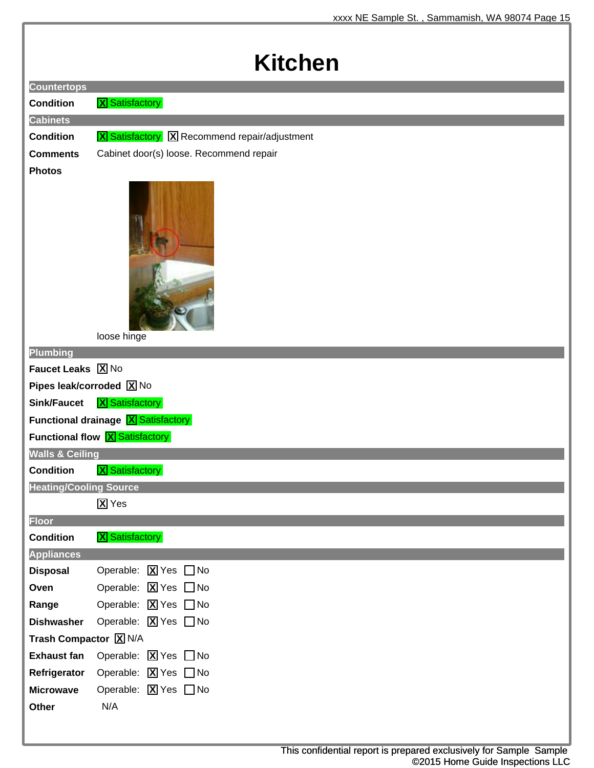## **Kitchen**

| <b>Countertops</b>            |                                                             |
|-------------------------------|-------------------------------------------------------------|
| <b>Condition</b>              | <b>X</b> Satisfactory                                       |
| <b>Cabinets</b>               |                                                             |
| <b>Condition</b>              | <b>X</b> Satisfactory <b>X</b> Recommend repair/adjustment  |
| <b>Comments</b>               | Cabinet door(s) loose. Recommend repair                     |
| <b>Photos</b>                 | loose hinge                                                 |
| Plumbing                      |                                                             |
| Faucet Leaks X No             |                                                             |
| Pipes leak/corroded X No      |                                                             |
| <b>Sink/Faucet</b>            | <b>X</b> Satisfactory                                       |
|                               | <b>Functional drainage X Satisfactory</b>                   |
|                               | <b>Functional flow X Satisfactory</b>                       |
| <b>Walls &amp; Ceiling</b>    |                                                             |
| <b>Condition</b>              | <b>X</b> Satisfactory                                       |
| <b>Heating/Cooling Source</b> |                                                             |
|                               | $\overline{X}$ Yes                                          |
| <b>Floor</b>                  |                                                             |
| <b>Condition</b>              | <b>X</b> Satisfactory                                       |
| <b>Appliances</b>             |                                                             |
| <b>Disposal</b>               | Operable: $\boxed{\mathbf{X}}$ Yes $\boxed{\phantom{1}}$ No |
| Oven                          | Operable: <b>X</b> Yes □ No                                 |
| Range                         | Operable: <b>X</b> Yes <b>□</b> No                          |
| <b>Dishwasher</b>             | Operable: $X$ Yes $\Box$ No                                 |
| Trash Compactor <b>X</b> N/A  |                                                             |
| <b>Exhaust fan</b>            | Operable: $\boxed{\mathbf{X}}$ Yes $\boxed{\phantom{1}}$ No |
| Refrigerator                  | Operable: $\boxed{\mathbf{X}}$ Yes $\boxed{\phantom{1}}$ No |
| <b>Microwave</b>              | Operable: $\boxed{\mathbf{X}}$ Yes $\boxed{\phantom{1}}$ No |
| Other                         | N/A                                                         |
|                               |                                                             |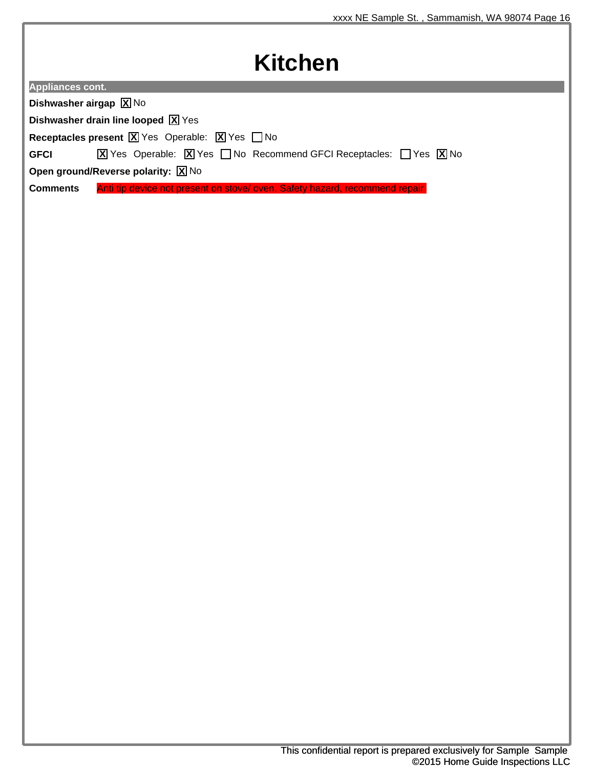### **Kitchen**

| <b>Appliances cont.</b> |  |
|-------------------------|--|
|                         |  |

**Dishwasher airgap X** No

**Dishwasher drain line looped X** Yes

**Receptacles present X** Yes Operable: **X** Yes **□** No

**GFCI X** Yes Operable: **X** Yes □ No Recommend GFCI Receptacles: □ Yes **X** No

**Open ground/Reverse polarity: X** No

**Comments** Anti tip device not present on stove/ oven. Safety hazard, recommend repair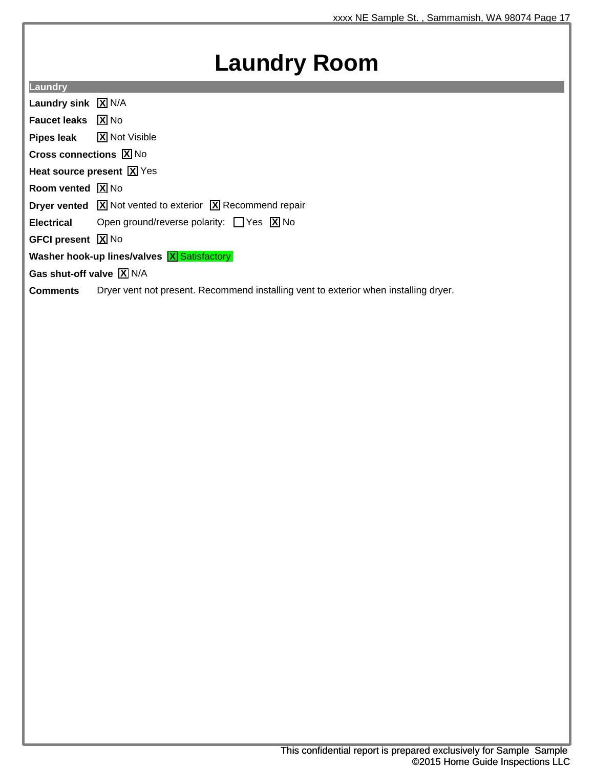### **Laundry Room**

**Laundry**

**Laundry sink X** N/A

**Faucet leaks X** No

**Pipes leak X** Not Visible

**Cross connections X** No

**Heat source present X** Yes

**Room vented**  $\boxed{\text{X}}$  No

**Dryer vented X** Not vented to exterior **X** Recommend repair

**Electrical** Open ground/reverse polarity: □ Yes **X** No

**GFCI present X** No

**Washer hook-up lines/valves X Satisfactory** 

**Gas shut-off valve X** N/A

**Comments** Dryer vent not present. Recommend installing vent to exterior when installing dryer.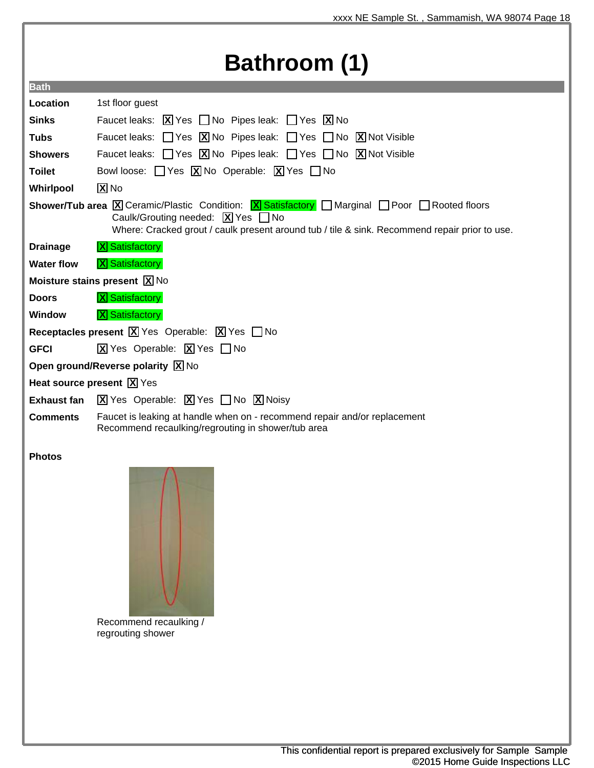## **Bathroom (1)**

| <b>Bath</b>                                                     |                                                                                                                                                                                                                                                                                           |  |
|-----------------------------------------------------------------|-------------------------------------------------------------------------------------------------------------------------------------------------------------------------------------------------------------------------------------------------------------------------------------------|--|
| Location                                                        | 1st floor guest                                                                                                                                                                                                                                                                           |  |
| <b>Sinks</b>                                                    | Faucet leaks: $\boxed{\mathbf{X}}$ Yes $\boxed{\phantom{1}}$ No Pipes leak: $\boxed{\phantom{1}}$ Yes $\boxed{\mathbf{X}}$ No                                                                                                                                                             |  |
| <b>Tubs</b>                                                     | Faucet leaks: $\Box$ Yes $\Box$ No Pipes leak: $\Box$ Yes $\Box$ No $\Box$ Not Visible                                                                                                                                                                                                    |  |
| <b>Showers</b>                                                  | Faucet leaks: $\Box$ Yes $\boxed{\mathbf{X}}$ No Pipes leak: $\Box$ Yes $\Box$ No $\boxed{\mathbf{X}}$ Not Visible                                                                                                                                                                        |  |
| <b>Toilet</b>                                                   | Bowl loose: $\Box$ Yes $\boxed{\textbf{X}}$ No Operable: $\boxed{\textbf{X}}$ Yes $\Box$ No                                                                                                                                                                                               |  |
| Whirlpool                                                       | $X$ No                                                                                                                                                                                                                                                                                    |  |
|                                                                 | <b>Shower/Tub area X</b> Ceramic/Plastic Condition: <b>X</b> Satisfactory <b>Marginal Poor Rooted floors</b><br>Caulk/Grouting needed: $\boxed{\mathbf{X}}$ Yes $\boxed{\phantom{1}}$ No<br>Where: Cracked grout / caulk present around tub / tile & sink. Recommend repair prior to use. |  |
| <b>Drainage</b>                                                 | <b>X</b> Satisfactory                                                                                                                                                                                                                                                                     |  |
| <b>Water flow</b>                                               | <b>X</b> Satisfactory                                                                                                                                                                                                                                                                     |  |
| <b>Moisture stains present <math>\boxed{\text{X}}</math> No</b> |                                                                                                                                                                                                                                                                                           |  |
| <b>Doors</b>                                                    | <b>X</b> Satisfactory                                                                                                                                                                                                                                                                     |  |
| <b>Window</b>                                                   | <b>X</b> Satisfactory                                                                                                                                                                                                                                                                     |  |
|                                                                 | <b>Receptacles present <math>\boxed{X}</math></b> Yes Operable: $\boxed{X}$ Yes $\boxed{\phantom{1}}$ No                                                                                                                                                                                  |  |
| <b>GFCI</b>                                                     | $\boxed{\mathbf{X}}$ Yes Operable: $\boxed{\mathbf{X}}$ Yes $\boxed{\phantom{1}}$ No                                                                                                                                                                                                      |  |
| Open ground/Reverse polarity $\boxed{X}$ No                     |                                                                                                                                                                                                                                                                                           |  |
|                                                                 | <b>Heat source present <math>\boxed{X}</math></b> Yes                                                                                                                                                                                                                                     |  |
| <b>Exhaust fan</b>                                              | $\boxed{\mathbf{X}}$ Yes Operable: $\boxed{\mathbf{X}}$ Yes $\boxed{\phantom{1}}$ No $\boxed{\mathbf{X}}$ Noisy                                                                                                                                                                           |  |
| <b>Comments</b>                                                 | Faucet is leaking at handle when on - recommend repair and/or replacement<br>Recommend recaulking/regrouting in shower/tub area                                                                                                                                                           |  |
|                                                                 |                                                                                                                                                                                                                                                                                           |  |

#### **Photos**



Recommend recaulking / regrouting shower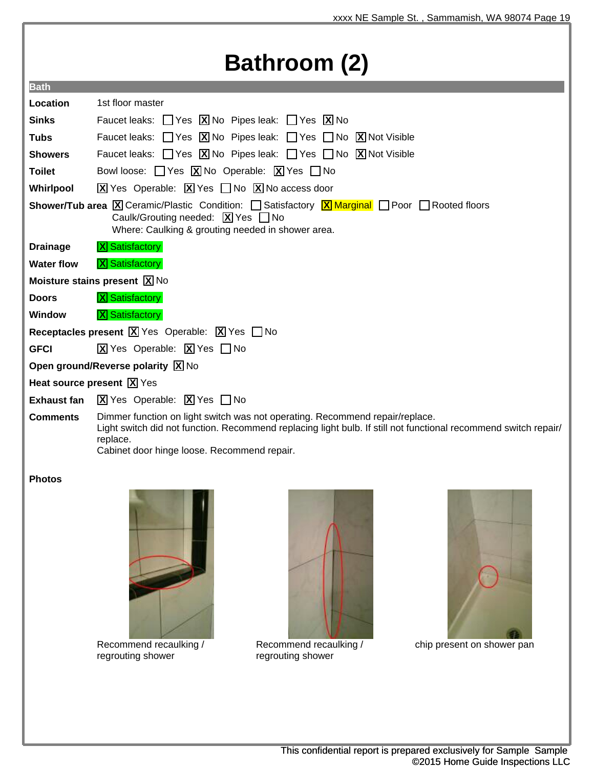## **Bathroom (2)**

| <b>Bath</b>                                                                                                                                                                                                                                        |                                                                                                                                                                                                                                                            |  |
|----------------------------------------------------------------------------------------------------------------------------------------------------------------------------------------------------------------------------------------------------|------------------------------------------------------------------------------------------------------------------------------------------------------------------------------------------------------------------------------------------------------------|--|
| Location                                                                                                                                                                                                                                           | 1st floor master                                                                                                                                                                                                                                           |  |
| <b>Sinks</b>                                                                                                                                                                                                                                       | Faucet leaks: $\Box$ Yes $\boxed{X}$ No Pipes leak: $\Box$ Yes $\boxed{X}$ No                                                                                                                                                                              |  |
| <b>Tubs</b>                                                                                                                                                                                                                                        | Faucet leaks: $\Box$ Yes $\Box$ No Pipes leak: $\Box$ Yes $\Box$ No $\Box$ Not Visible                                                                                                                                                                     |  |
| <b>Showers</b>                                                                                                                                                                                                                                     | Faucet leaks: $\Box$ Yes $\boxed{X}$ No Pipes leak: $\Box$ Yes $\Box$ No $\boxed{X}$ Not Visible                                                                                                                                                           |  |
| <b>Toilet</b>                                                                                                                                                                                                                                      | Bowl loose: $\Box$ Yes $\boxed{\textbf{X}}$ No Operable: $\boxed{\textbf{X}}$ Yes $\Box$ No                                                                                                                                                                |  |
| Whirlpool                                                                                                                                                                                                                                          | $\boxed{\text{X}}$ Yes Operable: $\boxed{\text{X}}$ Yes $\boxed{\phantom{\text{X}}}$ No $\boxed{\text{X}}$ No access door                                                                                                                                  |  |
| <b>Shower/Tub area X</b> Ceramic/Plastic Condition: $\Box$ Satisfactory <b>X</b> Marginal $\Box$ Poor $\Box$ Rooted floors<br>Caulk/Grouting needed: $\boxed{X}$ Yes $\boxed{\phantom{1}}$ No<br>Where: Caulking & grouting needed in shower area. |                                                                                                                                                                                                                                                            |  |
| <b>Drainage</b>                                                                                                                                                                                                                                    | <b>X</b> Satisfactory                                                                                                                                                                                                                                      |  |
| <b>Water flow</b>                                                                                                                                                                                                                                  | <b>X</b> Satisfactory                                                                                                                                                                                                                                      |  |
|                                                                                                                                                                                                                                                    | <b>Moisture stains present <math>\boxed{\mathbf{X}}</math> No</b>                                                                                                                                                                                          |  |
| <b>Doors</b>                                                                                                                                                                                                                                       | <b>X</b> Satisfactory                                                                                                                                                                                                                                      |  |
| <b>Window</b>                                                                                                                                                                                                                                      | <b>X</b> Satisfactory                                                                                                                                                                                                                                      |  |
| Receptacles present $\boxed{X}$ Yes Operable: $\boxed{X}$ Yes $\boxed{\phantom{1}}$ No                                                                                                                                                             |                                                                                                                                                                                                                                                            |  |
| <b>GFCI</b>                                                                                                                                                                                                                                        | $\overline{X}$ Yes Operable: $\overline{X}$ Yes $\Box$ No                                                                                                                                                                                                  |  |
|                                                                                                                                                                                                                                                    | Open ground/Reverse polarity $\boxed{X}$ No                                                                                                                                                                                                                |  |
|                                                                                                                                                                                                                                                    | Heat source present $\boxed{X}$ Yes                                                                                                                                                                                                                        |  |
| <b>Exhaust fan</b>                                                                                                                                                                                                                                 | $\boxed{\mathbf{X}}$ Yes Operable: $\boxed{\mathbf{X}}$ Yes $\boxed{\phantom{1}}$ No                                                                                                                                                                       |  |
| <b>Comments</b>                                                                                                                                                                                                                                    | Dimmer function on light switch was not operating. Recommend repair/replace.<br>Light switch did not function. Recommend replacing light bulb. If still not functional recommend switch repair/<br>replace.<br>Cabinet door hinge loose. Recommend repair. |  |

#### **Photos**



Recommend recaulking / regrouting shower



Recommend recaulking / regrouting shower



chip present on shower pan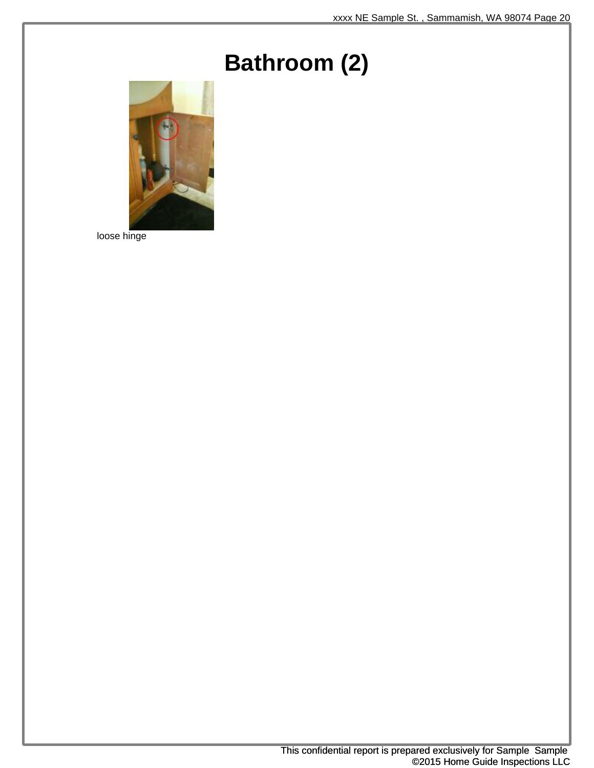## **Bathroom (2)**



loose hinge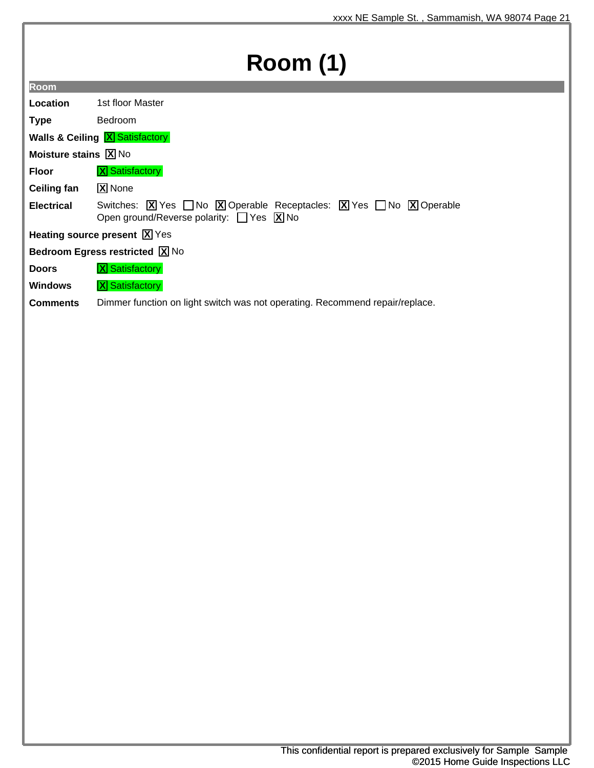# **Room (1)**

| Location                                              | 1st floor Master                                                                                                                                                                                                                                           |  |
|-------------------------------------------------------|------------------------------------------------------------------------------------------------------------------------------------------------------------------------------------------------------------------------------------------------------------|--|
| <b>Type</b>                                           | Bedroom                                                                                                                                                                                                                                                    |  |
| <b>Walls &amp; Ceiling X Satisfactory</b>             |                                                                                                                                                                                                                                                            |  |
| <b>Moisture stains <math>[\overline{X}]</math> No</b> |                                                                                                                                                                                                                                                            |  |
| <b>Floor</b>                                          | <b>X</b> Satisfactory                                                                                                                                                                                                                                      |  |
| <b>Ceiling fan</b>                                    | <b>X</b> None                                                                                                                                                                                                                                              |  |
| <b>Electrical</b>                                     | Switches: $\boxed{\mathbf{X}}$ Yes $\boxed{\phantom{+}}$ No $\boxed{\mathbf{X}}$ Operable Receptacles: $\boxed{\mathbf{X}}$ Yes $\boxed{\phantom{+}}$ No $\boxed{\mathbf{X}}$ Operable<br>Open ground/Reverse polarity: $\Box$ Yes $\boxed{\mathbf{X}}$ No |  |

**Heating source present**  $\boxed{\mathbf{X}}$  **Yes** 

**Bedroom Egress restricted X** No

**Doors X** Satisfactory

**Room**

**Windows X** Satisfactory

**Comments** Dimmer function on light switch was not operating. Recommend repair/replace.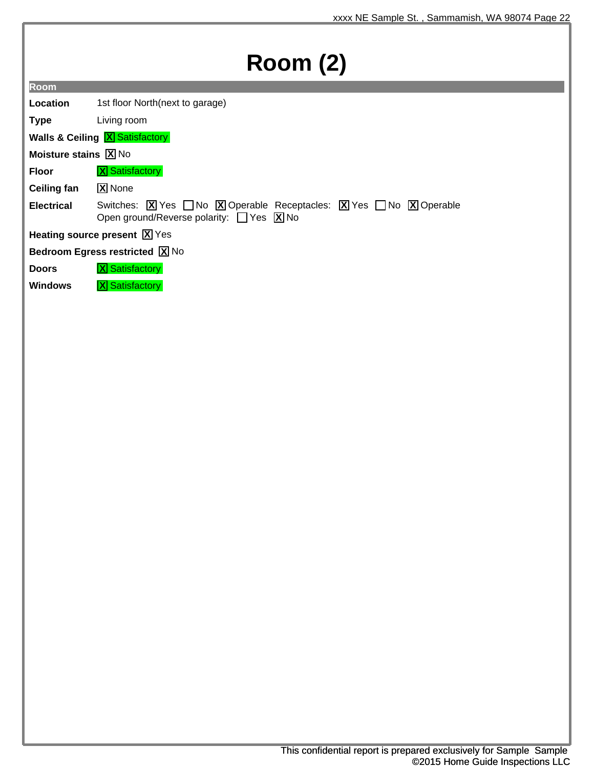# **Room (2)**

**Location** 1st floor North(next to garage)

**Type** Living room

**Walls & Ceiling X Satisfactory** 

**Moisture stains X** No

**Floor X** Satisfactory

**Ceiling fan X** None

**Electrical** Switches: **X** Yes ∩No **X** Operable Receptacles: **X** Yes ∩No **X** Operable Open ground/Reverse polarity: Ves X No

**Heating source present X** Yes

**Bedroom Egress restricted X** No

**Doors X** Satisfactory

**Windows X** Satisfactory

This confidential report is prepared exclusively for Sample Sample ©2015 Home Guide Inspections LLC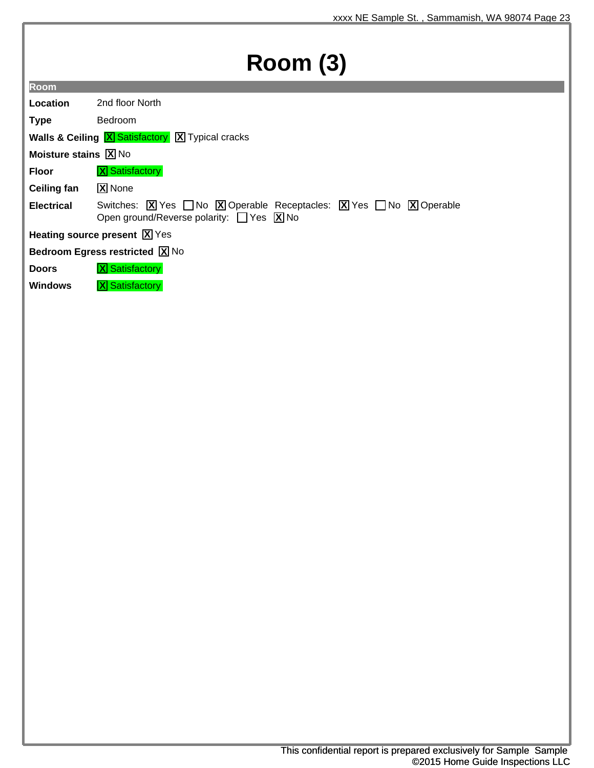# **Room (3)**

**Room**

**Location** 2nd floor North

**Type** Bedroom

**Walls & Ceiling X** Satisfactory **X** Typical cracks

**Moisture stains X** No

**Floor X** Satisfactory

**Ceiling fan X** None

**Electrical** Switches: **X** Yes ∩No **X** Operable Receptacles: **X** Yes ∩No **X** Operable Open ground/Reverse polarity: Ves X No

**Heating source present X** Yes

**Bedroom Egress restricted X** No

**Doors X** Satisfactory

**Windows X** Satisfactory

This confidential report is prepared exclusively for Sample Sample ©2015 Home Guide Inspections LLC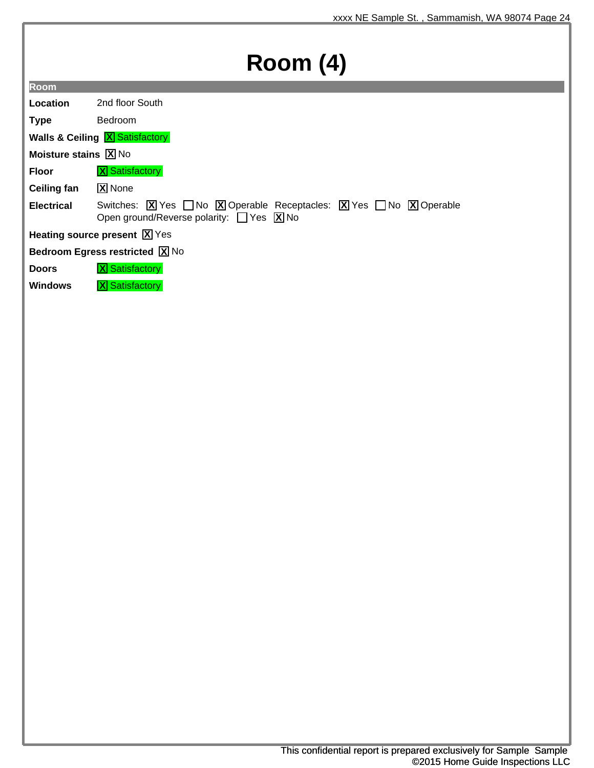## **Room (4)**

| Location                                  | 2nd floor South |  |
|-------------------------------------------|-----------------|--|
| <b>Type</b>                               | <b>Bedroom</b>  |  |
| <b>Walls &amp; Ceiling X Satisfactory</b> |                 |  |

**Moisture stains X** No

**Room**

**Floor X** Satisfactory

**Ceiling fan X** None

**Electrical** Switches: **X** Yes ∩No **X** Operable Receptacles: **X** Yes ∩No **X** Operable Open ground/Reverse polarity:  $\Box$  Yes  $\Box$  No

**Heating source present X** Yes

**Bedroom Egress restricted X** No

**Doors X** Satisfactory

**Windows X** Satisfactory

This confidential report is prepared exclusively for Sample Sample ©2015 Home Guide Inspections LLC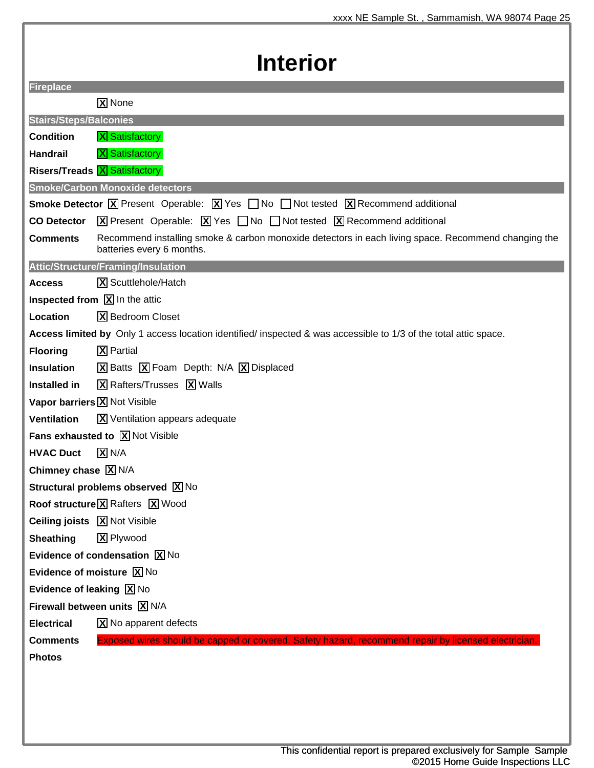| <b>Interior</b>                                        |                                                                                                                                                                           |
|--------------------------------------------------------|---------------------------------------------------------------------------------------------------------------------------------------------------------------------------|
| <b>Fireplace</b>                                       |                                                                                                                                                                           |
|                                                        | X None                                                                                                                                                                    |
| <b>Stairs/Steps/Balconies</b>                          |                                                                                                                                                                           |
| <b>Condition</b>                                       | <b>X</b> Satisfactory                                                                                                                                                     |
| <b>Handrail</b>                                        | <b>X</b> Satisfactory                                                                                                                                                     |
|                                                        | <b>Risers/Treads X</b> Satisfactory                                                                                                                                       |
|                                                        | <b>Smoke/Carbon Monoxide detectors</b>                                                                                                                                    |
|                                                        | <b>Smoke Detector <math>\boxed{X}</math></b> Present Operable: $\boxed{X}$ Yes $\boxed{\phantom{1}}$ No $\boxed{\phantom{1}}$ Not tested $\boxed{X}$ Recommend additional |
| <b>CO Detector</b>                                     | $\boxed{X}$ Present Operable: $\boxed{X}$ Yes $\boxed{\phantom{X}}$ No $\boxed{\phantom{X}}$ Not tested $\boxed{X}$ Recommend additional                                  |
| <b>Comments</b>                                        | Recommend installing smoke & carbon monoxide detectors in each living space. Recommend changing the<br>batteries every 6 months.                                          |
|                                                        | Attic/Structure/Framing/Insulation                                                                                                                                        |
| <b>Access</b>                                          | X Scuttlehole/Hatch                                                                                                                                                       |
|                                                        | <b>Inspected from <math>\boxed{\mathbf{X}}</math></b> In the attic                                                                                                        |
| Location                                               | <b>X</b> Bedroom Closet                                                                                                                                                   |
|                                                        | Access limited by Only 1 access location identified/ inspected & was accessible to 1/3 of the total attic space.                                                          |
| <b>Flooring</b>                                        | <b>X</b> Partial                                                                                                                                                          |
| <b>Insulation</b>                                      | $\boxed{\mathbf{X}}$ Batts $\boxed{\mathbf{X}}$ Foam Depth: N/A $\boxed{\mathbf{X}}$ Displaced                                                                            |
| <b>Installed in</b>                                    | X Rafters/Trusses X Walls                                                                                                                                                 |
| Vapor barriers $\boxed{\mathbf{X}}$ Not Visible        |                                                                                                                                                                           |
| <b>Ventilation</b>                                     | X Ventilation appears adequate                                                                                                                                            |
|                                                        | <b>Fans exhausted to <math>X</math> Not Visible</b>                                                                                                                       |
| <b>HVAC Duct</b>                                       | $X$ N/A                                                                                                                                                                   |
| Chimney chase $\boxed{X}$ N/A                          |                                                                                                                                                                           |
|                                                        | Structural problems observed X No                                                                                                                                         |
|                                                        | Roof structure X Rafters X Wood                                                                                                                                           |
| <b>Ceiling joists</b> $\boxed{\mathbf{X}}$ Not Visible |                                                                                                                                                                           |
| <b>Sheathing</b>                                       | X Plywood                                                                                                                                                                 |
|                                                        | Evidence of condensation $\boxed{X}$ No                                                                                                                                   |
| Evidence of moisture $\boxed{\text{X}}$ No             |                                                                                                                                                                           |
| Evidence of leaking $\boxed{X}$ No                     |                                                                                                                                                                           |
| Firewall between units $\boxed{X}$ N/A                 |                                                                                                                                                                           |
| <b>Electrical</b>                                      | X No apparent defects                                                                                                                                                     |
| <b>Comments</b>                                        | Exposed wires should be capped or covered. Safety hazard, recommend repair by licensed electrician.                                                                       |
| <b>Photos</b>                                          |                                                                                                                                                                           |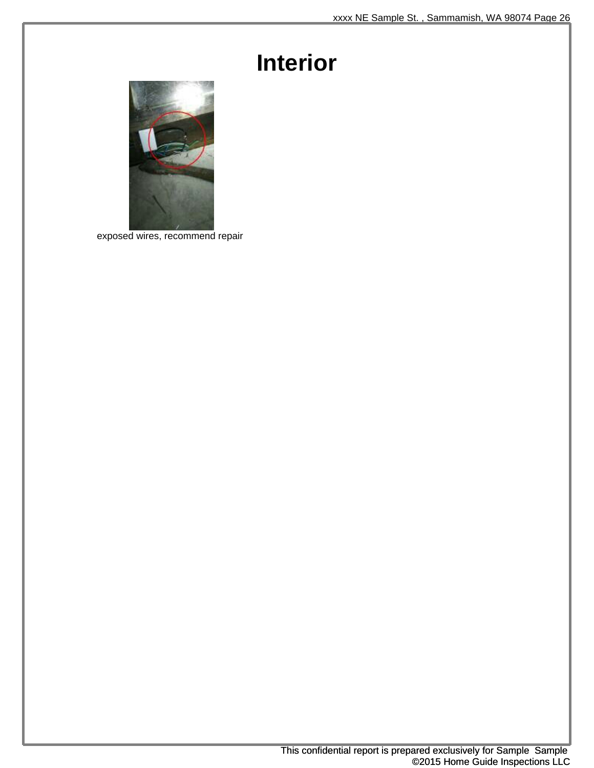## **Interior**



exposed wires, recommend repair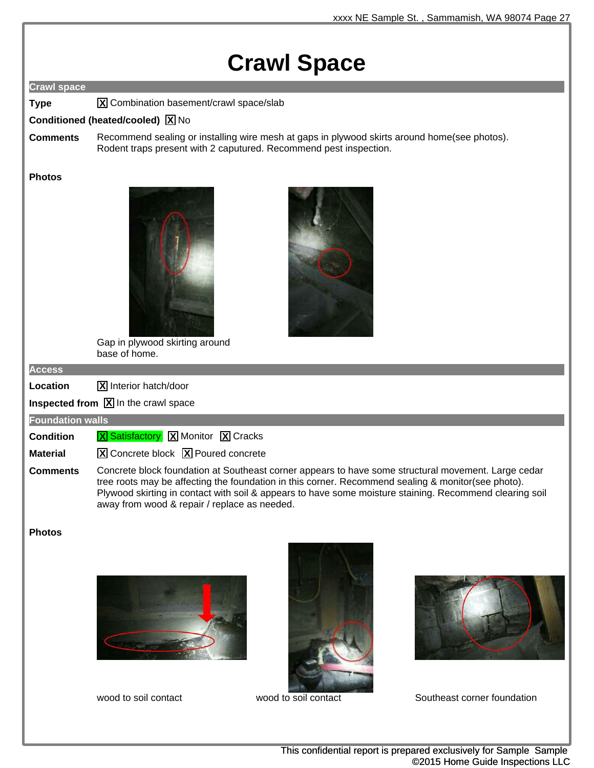## **Crawl Space**

#### **Crawl space**

**Type X** Combination basement/crawl space/slab

#### **Conditioned (heated/cooled) X** No

**Comments** Recommend sealing or installing wire mesh at gaps in plywood skirts around home(see photos). Rodent traps present with 2 caputured. Recommend pest inspection.

#### **Photos**





Gap in plywood skirting around base of home.

#### **Access**

**Location X** Interior hatch/door

**Inspected from**  $\boxed{\text{X}}$  **In the crawl space** 

#### **Foundation walls**

**Condition X** Satisfactory **X** Monitor **X** Cracks

**Material X** Concrete block **X** Poured concrete

**Comments** Concrete block foundation at Southeast corner appears to have some structural movement. Large cedar tree roots may be affecting the foundation in this corner. Recommend sealing & monitor(see photo). Plywood skirting in contact with soil & appears to have some moisture staining. Recommend clearing soil away from wood & repair / replace as needed.

#### **Photos**







wood to soil contact wood to soil contact Southeast corner foundation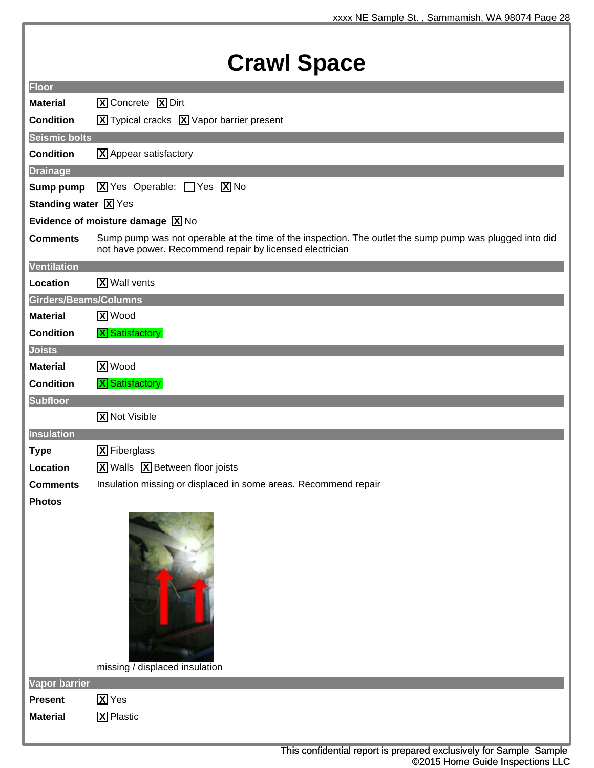| <b>Floor</b>                 |                                                                                                         |
|------------------------------|---------------------------------------------------------------------------------------------------------|
| <b>Material</b>              | X Concrete X Dirt                                                                                       |
| <b>Condition</b>             |                                                                                                         |
| <b>Seismic bolts</b>         | $\boxed{\mathbf{X}}$ Typical cracks $\boxed{\mathbf{X}}$ Vapor barrier present                          |
| <b>Condition</b>             | X Appear satisfactory                                                                                   |
|                              |                                                                                                         |
| <b>Drainage</b><br>Sump pump | $\boxed{\mathbf{X}}$ Yes Operable: $\boxed{\phantom{1}}$ Yes $\boxed{\mathbf{X}}$ No                    |
| <b>Standing water X</b> Yes  |                                                                                                         |
|                              | Evidence of moisture damage $[\overline{X}]$ No                                                         |
| <b>Comments</b>              | Sump pump was not operable at the time of the inspection. The outlet the sump pump was plugged into did |
|                              | not have power. Recommend repair by licensed electrician                                                |
| <b>Ventilation</b>           |                                                                                                         |
| Location                     | <b>X</b> Wall vents                                                                                     |
| Girders/Beams/Columns        |                                                                                                         |
| <b>Material</b>              | <b>X</b> Wood                                                                                           |
| <b>Condition</b>             | <b>X</b> Satisfactory                                                                                   |
| <b>Joists</b>                |                                                                                                         |
| <b>Material</b>              | <b>X</b> Wood                                                                                           |
| <b>Condition</b>             | <b>X</b> Satisfactory                                                                                   |
| <b>Subfloor</b>              |                                                                                                         |
|                              | <b>X</b> Not Visible                                                                                    |
| <b>Insulation</b>            |                                                                                                         |
| <b>Type</b>                  | <b>X</b> Fiberglass                                                                                     |
| Location                     | $\overline{X}$ Walls $\overline{X}$ Between floor joists                                                |
| <b>Comments</b>              | Insulation missing or displaced in some areas. Recommend repair                                         |
| <b>Photos</b>                |                                                                                                         |
|                              | missing / displaced insulation                                                                          |
| <b>Vapor barrier</b>         |                                                                                                         |
| <b>Present</b>               | <b>X</b> Yes                                                                                            |
| <b>Material</b>              | <b>X</b> Plastic                                                                                        |
|                              |                                                                                                         |
|                              | This confidential report is prepared exclusively for Sample Sample<br>©2015 Home Guide Inspections LLC  |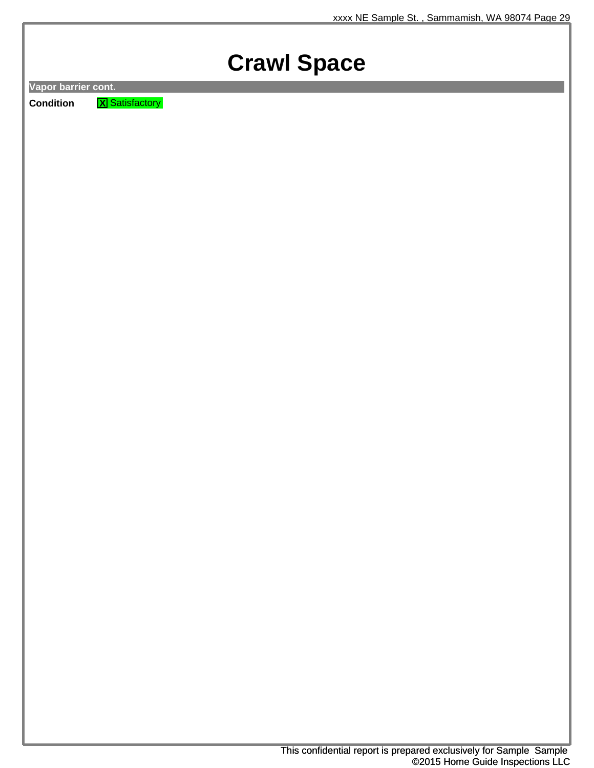## **Crawl Space**

**Vapor barrier cont.**

**Condition X** Satisfactory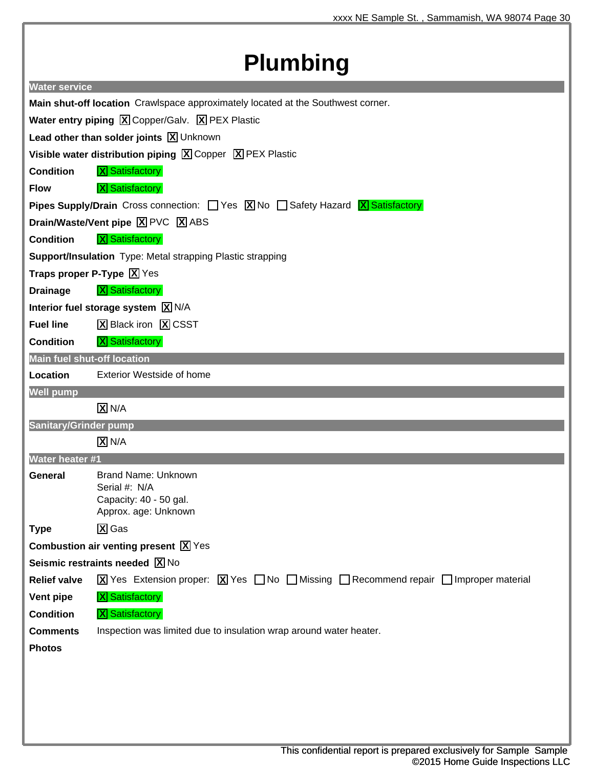## **Plumbing**

| <u>iailiwiliy</u>                                                                                              |                                                                                                                                                                                                                                   |  |
|----------------------------------------------------------------------------------------------------------------|-----------------------------------------------------------------------------------------------------------------------------------------------------------------------------------------------------------------------------------|--|
| <b>Water service</b>                                                                                           |                                                                                                                                                                                                                                   |  |
| Main shut-off location Crawlspace approximately located at the Southwest corner.                               |                                                                                                                                                                                                                                   |  |
| <b>Water entry piping <math>\boxed{\text{X}}</math> Copper/Galv. <math>\boxed{\text{X}}</math> PEX Plastic</b> |                                                                                                                                                                                                                                   |  |
| Lead other than solder joints $\boxed{X}$ Unknown                                                              |                                                                                                                                                                                                                                   |  |
|                                                                                                                | Visible water distribution piping $\boxed{X}$ Copper $\boxed{X}$ PEX Plastic                                                                                                                                                      |  |
| <b>Condition</b>                                                                                               | <b>X</b> Satisfactory                                                                                                                                                                                                             |  |
| <b>Flow</b>                                                                                                    | <b>X</b> Satisfactory                                                                                                                                                                                                             |  |
|                                                                                                                | <b>Pipes Supply/Drain</b> Cross connection: $\Box$ Yes $\boxed{X}$ No $\Box$ Safety Hazard $\boxed{X}$ Satisfactory                                                                                                               |  |
|                                                                                                                | Drain/Waste/Vent pipe X PVC X ABS                                                                                                                                                                                                 |  |
| <b>Condition</b>                                                                                               | <b>X</b> Satisfactory                                                                                                                                                                                                             |  |
|                                                                                                                | <b>Support/Insulation</b> Type: Metal strapping Plastic strapping                                                                                                                                                                 |  |
|                                                                                                                | Traps proper P-Type $\boxed{X}$ Yes                                                                                                                                                                                               |  |
| <b>Drainage</b>                                                                                                | <b>X</b> Satisfactory                                                                                                                                                                                                             |  |
|                                                                                                                | Interior fuel storage system $\boxed{X}$ N/A                                                                                                                                                                                      |  |
| <b>Fuel line</b>                                                                                               | <b>X</b> Black iron <b>X</b> CSST                                                                                                                                                                                                 |  |
| <b>Condition</b>                                                                                               | <b>X</b> Satisfactory                                                                                                                                                                                                             |  |
| <b>Main fuel shut-off location</b>                                                                             |                                                                                                                                                                                                                                   |  |
| Location                                                                                                       | <b>Exterior Westside of home</b>                                                                                                                                                                                                  |  |
| <b>Well pump</b>                                                                                               |                                                                                                                                                                                                                                   |  |
|                                                                                                                | $\overline{X}$ N/A                                                                                                                                                                                                                |  |
| <b>Sanitary/Grinder pump</b>                                                                                   |                                                                                                                                                                                                                                   |  |
|                                                                                                                | $\overline{X}$ N/A                                                                                                                                                                                                                |  |
| <b>Water heater #1</b>                                                                                         |                                                                                                                                                                                                                                   |  |
| <b>General</b>                                                                                                 | <b>Brand Name: Unknown</b><br>Serial #: N/A                                                                                                                                                                                       |  |
|                                                                                                                | Capacity: 40 - 50 gal.                                                                                                                                                                                                            |  |
|                                                                                                                | Approx. age: Unknown                                                                                                                                                                                                              |  |
| <b>Type</b>                                                                                                    | $\overline{X}$ Gas                                                                                                                                                                                                                |  |
|                                                                                                                | Combustion air venting present $\boxed{X}$ Yes                                                                                                                                                                                    |  |
|                                                                                                                | Seismic restraints needed $\boxed{X}$ No                                                                                                                                                                                          |  |
| <b>Relief valve</b>                                                                                            | $\boxed{\text{X}}$ Yes Extension proper: $\boxed{\text{X}}$ Yes $\boxed{\phantom{\text{X}}}$ No $\boxed{\phantom{\text{X}}}$ Missing $\boxed{\phantom{\text{X}}}$ Recommend repair $\boxed{\phantom{\text{X}}}$ Improper material |  |
| Vent pipe                                                                                                      | <b>X</b> Satisfactory                                                                                                                                                                                                             |  |
| <b>Condition</b>                                                                                               | <b>X</b> Satisfactory                                                                                                                                                                                                             |  |
| <b>Comments</b>                                                                                                | Inspection was limited due to insulation wrap around water heater.                                                                                                                                                                |  |
| <b>Photos</b>                                                                                                  |                                                                                                                                                                                                                                   |  |
|                                                                                                                |                                                                                                                                                                                                                                   |  |
|                                                                                                                |                                                                                                                                                                                                                                   |  |
|                                                                                                                |                                                                                                                                                                                                                                   |  |
|                                                                                                                |                                                                                                                                                                                                                                   |  |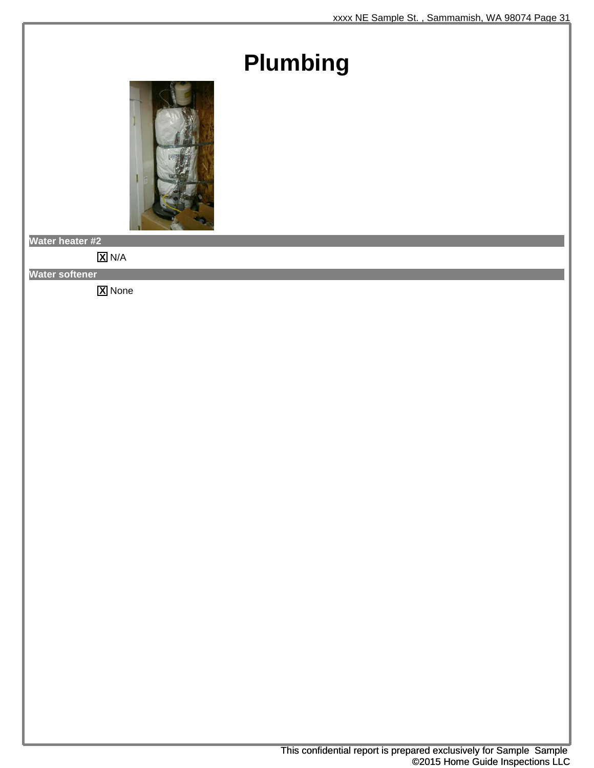## **Plumbing**



**Water heater #2**

**X** N/A

**Water softener**

**X** None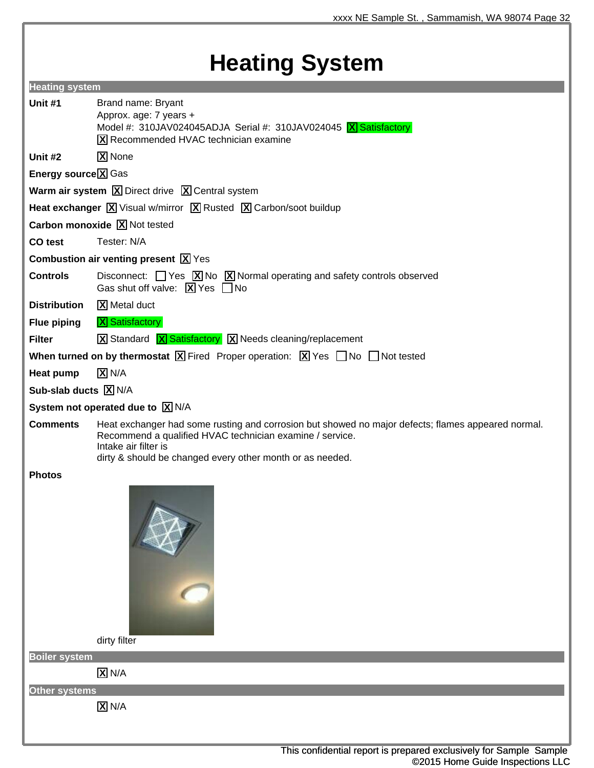## **Heating System**

| <b>Heating system</b>      |                                                                                                                                                                                                                                                     |
|----------------------------|-----------------------------------------------------------------------------------------------------------------------------------------------------------------------------------------------------------------------------------------------------|
| Unit #1                    | Brand name: Bryant<br>Approx. age: 7 years +<br>Model #: 310JAV024045ADJA Serial #: 310JAV024045 $X$ Satisfactory<br>X Recommended HVAC technician examine                                                                                          |
| Unit #2                    | <b>X</b> None                                                                                                                                                                                                                                       |
| <b>Energy source X</b> Gas |                                                                                                                                                                                                                                                     |
|                            | <b>Warm air system <math>\boxed{\mathbf{X}}</math> Direct drive <math>\boxed{\mathbf{X}}</math> Central system</b>                                                                                                                                  |
|                            | Heat exchanger $\boxed{X}$ Visual w/mirror $\boxed{X}$ Rusted $\boxed{X}$ Carbon/soot buildup                                                                                                                                                       |
|                            | Carbon monoxide X Not tested                                                                                                                                                                                                                        |
| CO test                    | Tester: N/A                                                                                                                                                                                                                                         |
|                            | <b>Combustion air venting present <math>\boxed{X}</math></b> Yes                                                                                                                                                                                    |
| <b>Controls</b>            | Disconnect: $\Box$ Yes $\boxed{X}$ No $\boxed{X}$ Normal operating and safety controls observed<br>Gas shut off valve: $\boxed{\mathbf{X}}$ Yes $\boxed{\phantom{1}}$ No                                                                            |
| <b>Distribution</b>        | <b>X</b> Metal duct                                                                                                                                                                                                                                 |
| <b>Flue piping</b>         | <b>X</b> Satisfactory                                                                                                                                                                                                                               |
| <b>Filter</b>              | <b>X</b> Standard <b>X</b> Satisfactory <b>X</b> Needs cleaning/replacement                                                                                                                                                                         |
|                            | <b>When turned on by thermostat </b> $\boxed{\mathbf{X}}$ Fired Proper operation: $\boxed{\mathbf{X}}$ Yes $\boxed{\phantom{0}}$ No $\boxed{\phantom{0}}$ Not tested                                                                                |
| Heat pump                  | $\overline{X}$ N/A                                                                                                                                                                                                                                  |
| Sub-slab ducts X N/A       |                                                                                                                                                                                                                                                     |
|                            | System not operated due to $\boxed{X}$ N/A                                                                                                                                                                                                          |
| <b>Comments</b>            | Heat exchanger had some rusting and corrosion but showed no major defects; flames appeared normal.<br>Recommend a qualified HVAC technician examine / service.<br>Intake air filter is<br>dirty & should be changed every other month or as needed. |
| <b>Photos</b>              |                                                                                                                                                                                                                                                     |
|                            | Jo-<br>dirty filter                                                                                                                                                                                                                                 |
| <b>Boiler system</b>       |                                                                                                                                                                                                                                                     |
|                            | $X$ N/A                                                                                                                                                                                                                                             |
| Other systems              |                                                                                                                                                                                                                                                     |
|                            | $X$ N/A                                                                                                                                                                                                                                             |
|                            |                                                                                                                                                                                                                                                     |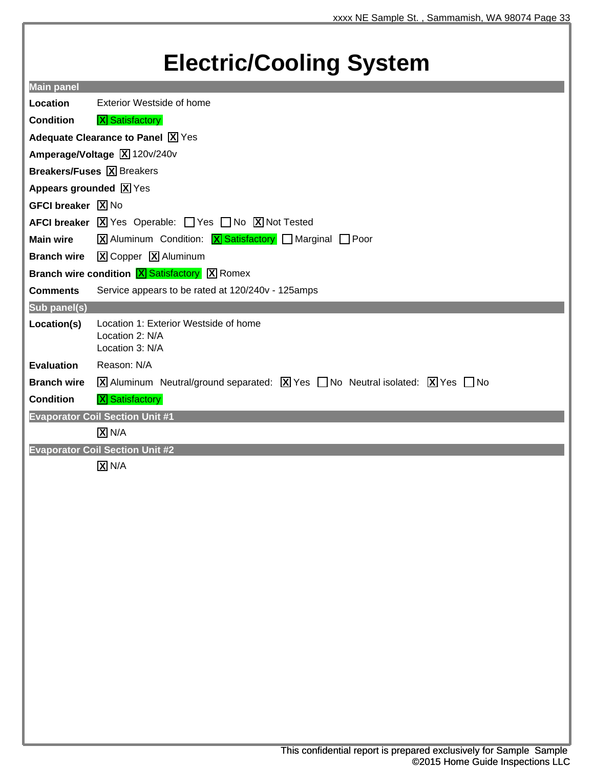## **Electric/Cooling System**

| <b>Main panel</b>                                                |                                                                                                                                                        |
|------------------------------------------------------------------|--------------------------------------------------------------------------------------------------------------------------------------------------------|
| Location                                                         | Exterior Westside of home                                                                                                                              |
| <b>Condition</b>                                                 | <b>X</b> Satisfactory                                                                                                                                  |
|                                                                  | Adequate Clearance to Panel X Yes                                                                                                                      |
| Amperage/Voltage X 120v/240v                                     |                                                                                                                                                        |
|                                                                  | <b>Breakers/Fuses X</b> Breakers                                                                                                                       |
| Appears grounded $\boxed{X}$ Yes                                 |                                                                                                                                                        |
| <b>GFCI breaker X</b> No                                         |                                                                                                                                                        |
|                                                                  | <b>AFCI breaker</b> $\boxed{X}$ Yes Operable: $\boxed{\phantom{a}}$ Yes $\boxed{\phantom{a}}$ No $\boxed{X}$ Not Tested                                |
| <b>Main wire</b>                                                 | $\boxed{\mathbf{X}}$ Aluminum Condition: $\boxed{\mathbf{X}}$ Satisfactory $\boxed{\phantom{\mathbf{X}}}$ Marginal $\boxed{\phantom{\mathbf{X}}}$ Poor |
| <b>Branch wire</b>                                               | X Copper X Aluminum                                                                                                                                    |
| <b>Branch wire condition <math>X</math> Satisfactory X</b> Romex |                                                                                                                                                        |
| <b>Comments</b>                                                  | Service appears to be rated at 120/240v - 125amps                                                                                                      |
| Sub panel(s)                                                     |                                                                                                                                                        |
| Location(s)                                                      | Location 1: Exterior Westside of home<br>Location 2: N/A<br>Location 3: N/A                                                                            |
| <b>Evaluation</b>                                                | Reason: N/A                                                                                                                                            |
| <b>Branch wire</b>                                               | $\overline{X}$ Aluminum Neutral/ground separated: $\overline{X}$ Yes $\Box$ No Neutral isolated: $\overline{X}$ Yes $\Box$ No                          |
| <b>Condition</b>                                                 | <b>X</b> Satisfactory                                                                                                                                  |
|                                                                  | <b>Evaporator Coil Section Unit #1</b>                                                                                                                 |
|                                                                  | $X$ N/A                                                                                                                                                |
|                                                                  | <b>Evaporator Coil Section Unit #2</b>                                                                                                                 |
|                                                                  | <b>KZR</b> 1.1.1.1.1                                                                                                                                   |

**X** N/A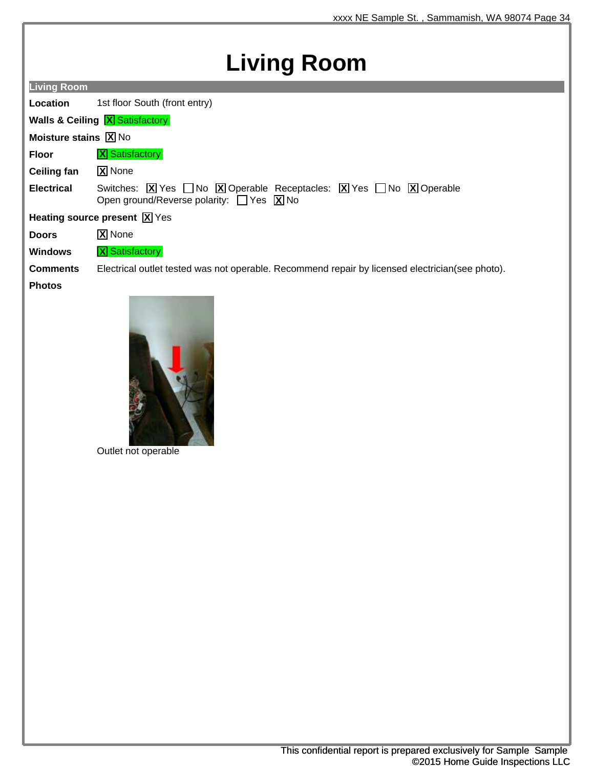## **Living Room**

| <b>Living Room</b>                                        |                                                                                                                                                                                                                        |  |
|-----------------------------------------------------------|------------------------------------------------------------------------------------------------------------------------------------------------------------------------------------------------------------------------|--|
| Location                                                  | 1st floor South (front entry)                                                                                                                                                                                          |  |
|                                                           | <b>Walls &amp; Ceiling X Satisfactory</b>                                                                                                                                                                              |  |
| <b>Moisture stains <math>\boxed{\mathbf{X}}</math> No</b> |                                                                                                                                                                                                                        |  |
| <b>Floor</b>                                              | <b>X</b> Satisfactory                                                                                                                                                                                                  |  |
| Ceiling fan                                               | <b>X</b> None                                                                                                                                                                                                          |  |
| <b>Electrical</b>                                         | Switches: $\boxed{X}$ Yes $\boxed{\phantom{1}}$ No $\boxed{X}$ Operable Receptacles: $\boxed{X}$ Yes $\boxed{\phantom{1}}$ No $\boxed{X}$ Operable<br>Open ground/Reverse polarity: $\Box$ Yes $\boxed{\mathbf{X}}$ No |  |
| Heating source present $\boxed{\mathbf{X}}$ Yes           |                                                                                                                                                                                                                        |  |
| <b>Doors</b>                                              | <b>X</b> None                                                                                                                                                                                                          |  |
| <b>Windows</b>                                            | <b>X</b> Satisfactory                                                                                                                                                                                                  |  |
| <b>Comments</b>                                           | Electrical outlet tested was not operable. Recommend repair by licensed electrician (see photo).                                                                                                                       |  |
| <b>Photos</b>                                             |                                                                                                                                                                                                                        |  |



Outlet not operable